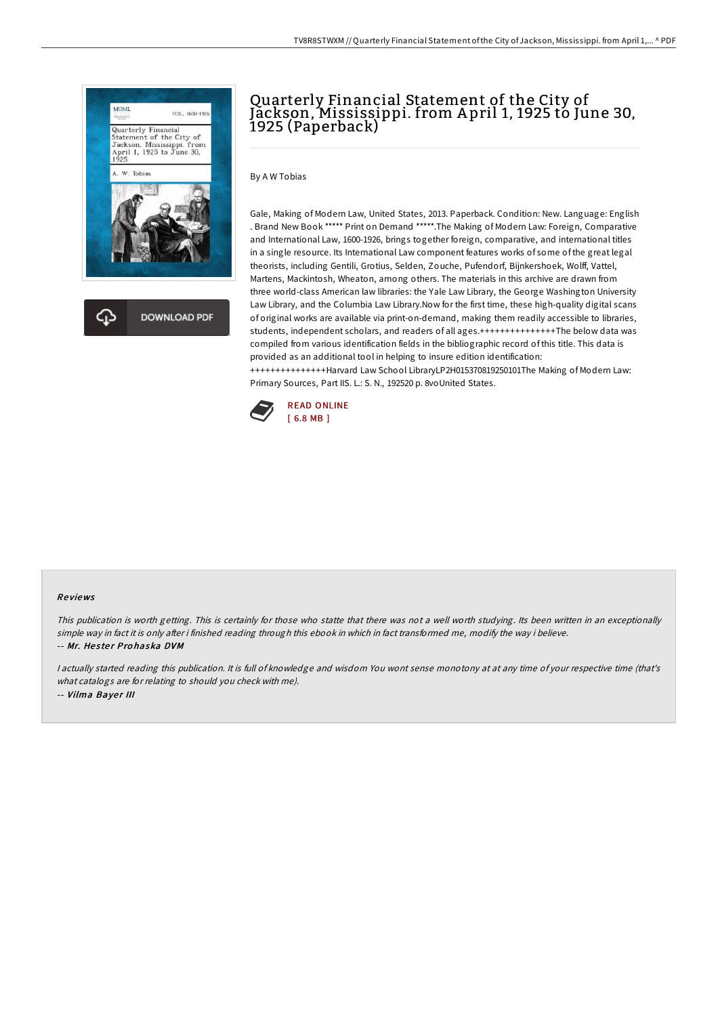

# Quarterly Financial Statement of the City of Jackson, Mississippi. from A pril 1, 1925 to June 30, 1925 (Paperback)

By A W Tobias

Gale, Making of Modern Law, United States, 2013. Paperback. Condition: New. Language: English . Brand New Book \*\*\*\*\* Print on Demand \*\*\*\*\*.The Making of Modern Law: Foreign, Comparative and International Law, 1600-1926, brings together foreign, comparative, and international titles in a single resource. Its International Law component features works of some of the great legal theorists, including Gentili, Grotius, Selden, Zouche, Pufendorf, Bijnkershoek, Wolff, Vattel, Martens, Mackintosh, Wheaton, among others. The materials in this archive are drawn from three world-class American law libraries: the Yale Law Library, the George Washington University Law Library, and the Columbia Law Library.Now for the first time, these high-quality digital scans of original works are available via print-on-demand, making them readily accessible to libraries, students, independent scholars, and readers of all ages.+++++++++++++++The below data was compiled from various identification fields in the bibliographic record of this title. This data is provided as an additional tool in helping to insure edition identification: +++++++++++++++Harvard Law School LibraryLP2H015370819250101The Making of Modern Law:



#### Re views

This publication is worth getting. This is certainly for those who statte that there was not <sup>a</sup> well worth studying. Its been written in an exceptionally simple way in fact it is only after i finished reading through this ebook in which in fact transformed me, modify the way i believe. -- Mr. Hester Prohaska DVM

Primary Sources, Part IIS. L.: S. N., 192520 p. 8voUnited States.

<sup>I</sup> actually started reading this publication. It is full of knowledge and wisdom You wont sense monotony at at any time of your respective time (that's what catalogs are for relating to should you check with me). -- Vilma Bayer III